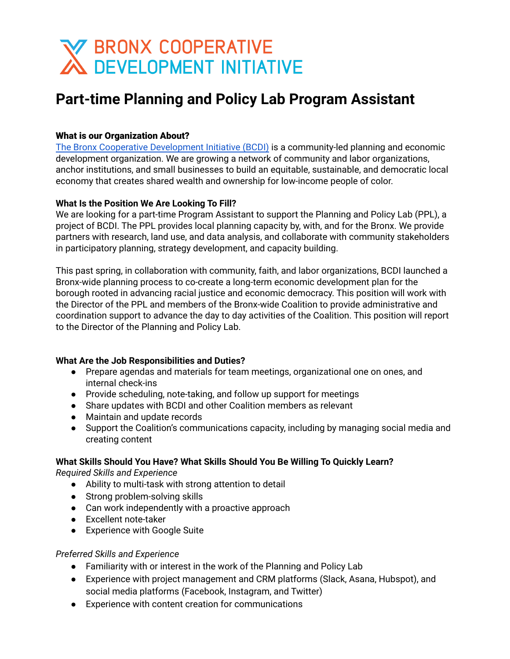# **X BRONX COOPERATIVE<br>A DEVELOPMENT INITIATIVE**

# **Part-time Planning and Policy Lab Program Assistant**

# What is our Organization About?

The Bronx Cooperative [Development](http://bcdi.nyc) Initiative (BCDI) is a community-led planning and economic development organization. We are growing a network of community and labor organizations, anchor institutions, and small businesses to build an equitable, sustainable, and democratic local economy that creates shared wealth and ownership for low-income people of color.

## **What Is the Position We Are Looking To Fill?**

We are looking for a part-time Program Assistant to support the Planning and Policy Lab (PPL), a project of BCDI. The PPL provides local planning capacity by, with, and for the Bronx. We provide partners with research, land use, and data analysis, and collaborate with community stakeholders in participatory planning, strategy development, and capacity building.

This past spring, in collaboration with community, faith, and labor organizations, BCDI launched a Bronx-wide planning process to co-create a long-term economic development plan for the borough rooted in advancing racial justice and economic democracy. This position will work with the Director of the PPL and members of the Bronx-wide Coalition to provide administrative and coordination support to advance the day to day activities of the Coalition. This position will report to the Director of the Planning and Policy Lab.

## **What Are the Job Responsibilities and Duties?**

- Prepare agendas and materials for team meetings, organizational one on ones, and internal check-ins
- Provide scheduling, note-taking, and follow up support for meetings
- Share updates with BCDI and other Coalition members as relevant
- Maintain and update records
- Support the Coalition's communications capacity, including by managing social media and creating content

# **What Skills Should You Have? What Skills Should You Be Willing To Quickly Learn?**

*Required Skills and Experience*

- Ability to multi-task with strong attention to detail
- Strong problem-solving skills
- Can work independently with a proactive approach
- Excellent note-taker
- Experience with Google Suite

# *Preferred Skills and Experience*

- Familiarity with or interest in the work of the Planning and Policy Lab
- Experience with project management and CRM platforms (Slack, Asana, Hubspot), and social media platforms (Facebook, Instagram, and Twitter)
- Experience with content creation for communications